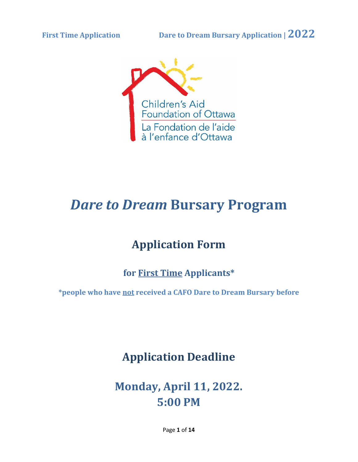

# *Dare to Dream* **Bursary Program**

## **Application Form**

**for First Time Applicants\***

**\*people who have not received a CAFO Dare to Dream Bursary before**

**Application Deadline**

**Monday, April 11, 2022. 5:00 PM**

Page **1** of **14**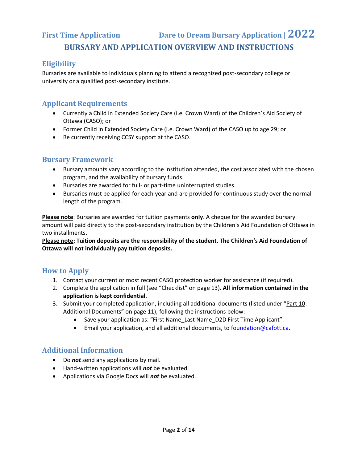**First Time Application Dare to Dream Bursary Application | 2022**

### **BURSARY AND APPLICATION OVERVIEW AND INSTRUCTIONS**

#### **Eligibility**

Bursaries are available to individuals planning to attend a recognized post-secondary college or university or a qualified post-secondary institute.

#### **Applicant Requirements**

- Currently a Child in Extended Society Care (i.e. Crown Ward) of the Children's Aid Society of Ottawa (CASO); or
- Former Child in Extended Society Care (i.e. Crown Ward) of the CASO up to age 29; or
- Be currently receiving CCSY support at the CASO.

#### **Bursary Framework**

- Bursary amounts vary according to the institution attended, the cost associated with the chosen program, and the availability of bursary funds.
- Bursaries are awarded for full- or part-time uninterrupted studies.
- Bursaries must be applied for each year and are provided for continuous study over the normal length of the program.

**Please note**: Bursaries are awarded for tuition payments **only**. A cheque for the awarded bursary amount will paid directly to the post-secondary institution by the Children's Aid Foundation of Ottawa in two installments.

**Please note: Tuition deposits are the responsibility of the student. The Children's Aid Foundation of Ottawa will not individually pay tuition deposits.** 

#### **How to Apply**

- 1. Contact your current or most recent CASO protection worker for assistance (if required).
- 2. Complete the application in full (see "Checklist" on page 13). **All information contained in the application is kept confidential.**
- 3. Submit your completed application, including all additional documents (listed under "Part 10: Additional Documents" on page 11), following the instructions below:
	- Save your application as: "First Name\_Last Name\_D2D First Time Applicant".
	- Email your application, and all additional documents, to [foundation@cafott.ca.](mailto:foundation@cafott.ca)

#### **Additional Information**

- Do *not* send any applications by mail.
- Hand-written applications will *not* be evaluated.
- Applications via Google Docs will *not* be evaluated.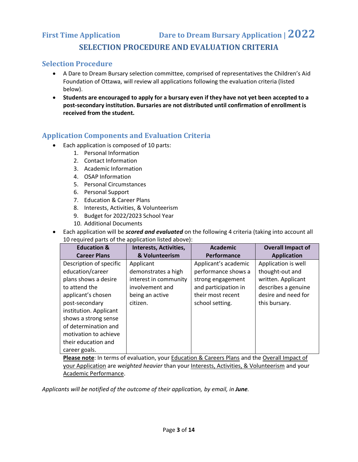### **First Time Application Dare to Dream Bursary Application | 2022 SELECTION PROCEDURE AND EVALUATION CRITERIA**

#### **Selection Procedure**

- A Dare to Dream Bursary selection committee, comprised of representatives the Children's Aid Foundation of Ottawa, will review all applications following the evaluation criteria (listed below).
- **Students are encouraged to apply for a bursary even if they have not yet been accepted to a post-secondary institution. Bursaries are not distributed until confirmation of enrollment is received from the student.**

#### **Application Components and Evaluation Criteria**

- Each application is composed of 10 parts:
	- 1. Personal Information
	- 2. Contact Information
	- 3. Academic Information
	- 4. OSAP Information
	- 5. Personal Circumstances
	- 6. Personal Support
	- 7. Education & Career Plans
	- 8. Interests, Activities, & Volunteerism
	- 9. Budget for 2022/2023 School Year
	- 10. Additional Documents
- Each application will be *scored and evaluated* on the following 4 criteria (taking into account all 10 required parts of the application listed above):

| <b>Education &amp;</b>  | Interests, Activities, | <b>Academic</b>      | <b>Overall Impact of</b> |
|-------------------------|------------------------|----------------------|--------------------------|
| <b>Career Plans</b>     | & Volunteerism         | Performance          | <b>Application</b>       |
| Description of specific | Applicant              | Applicant's academic | Application is well      |
| education/career        | demonstrates a high    | performance shows a  | thought-out and          |
| plans shows a desire    | interest in community  | strong engagement    | written. Applicant       |
| to attend the           | involvement and        | and participation in | describes a genuine      |
| applicant's chosen      | being an active        | their most recent    | desire and need for      |
| post-secondary          | citizen.               | school setting.      | this bursary.            |
| institution. Applicant  |                        |                      |                          |
| shows a strong sense    |                        |                      |                          |
| of determination and    |                        |                      |                          |
| motivation to achieve   |                        |                      |                          |
| their education and     |                        |                      |                          |
| career goals.           |                        |                      |                          |

Please note: In terms of evaluation, your Education & Careers Plans and the Overall Impact of your Application are *weighted heavier* than your Interests, Activities, & Volunteerism and your Academic Performance.

*Applicants will be notified of the outcome of their application, by email, in June.*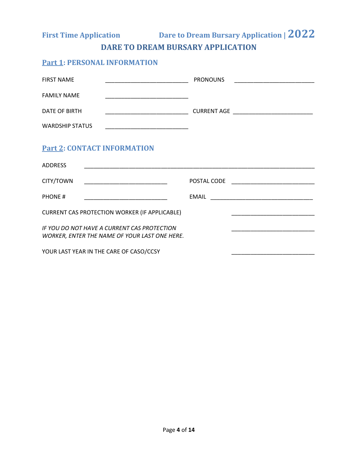**First Time Application Dare to Dream Bursary Application | 2022**

**DARE TO DREAM BURSARY APPLICATION**

### **Part 1: PERSONAL INFORMATION**

| <b>FIRST NAME</b>                                                                                                                                                            | <b>PRONOUNS</b>                                       |  |  |  |  |
|------------------------------------------------------------------------------------------------------------------------------------------------------------------------------|-------------------------------------------------------|--|--|--|--|
| <b>FAMILY NAME</b>                                                                                                                                                           |                                                       |  |  |  |  |
| <b>DATE OF BIRTH</b>                                                                                                                                                         |                                                       |  |  |  |  |
| <b>WARDSHIP STATUS</b><br><u> 1980 - Johann John Stone, mars eta biztanleria (</u>                                                                                           |                                                       |  |  |  |  |
| <b>Part 2: CONTACT INFORMATION</b>                                                                                                                                           |                                                       |  |  |  |  |
| <b>ADDRESS</b>                                                                                                                                                               |                                                       |  |  |  |  |
| CITY/TOWN                                                                                                                                                                    |                                                       |  |  |  |  |
| <b>PHONE#</b>                                                                                                                                                                |                                                       |  |  |  |  |
| <b>CURRENT CAS PROTECTION WORKER (IF APPLICABLE)</b><br><u> 1999 - Johann John Stone, mars eta bat eta bat eta bat eta bat eta bat eta bat eta bat eta bat eta bat eta b</u> |                                                       |  |  |  |  |
| IF YOU DO NOT HAVE A CURRENT CAS PROTECTION<br>WORKER, ENTER THE NAME OF YOUR LAST ONE HERE.                                                                                 | <u> 1995 - Johann John Stone, mars eta inglesia (</u> |  |  |  |  |
| YOUR LAST YEAR IN THE CARE OF CASO/CCSY                                                                                                                                      |                                                       |  |  |  |  |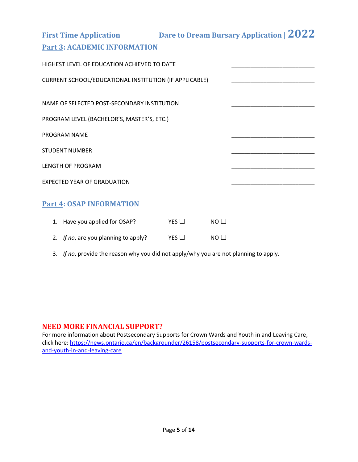**First Time Application Dare to Dream Bursary Application | 2022 Part 3: ACADEMIC INFORMATION**

|    | HIGHEST LEVEL OF EDUCATION ACHIEVED TO DATE                                        |               |    |  |  |  |  |
|----|------------------------------------------------------------------------------------|---------------|----|--|--|--|--|
|    | CURRENT SCHOOL/EDUCATIONAL INSTITUTION (IF APPLICABLE)                             |               |    |  |  |  |  |
|    |                                                                                    |               |    |  |  |  |  |
|    | NAME OF SELECTED POST-SECONDARY INSTITUTION                                        |               |    |  |  |  |  |
|    | PROGRAM LEVEL (BACHELOR'S, MASTER'S, ETC.)                                         |               |    |  |  |  |  |
|    | PROGRAM NAME                                                                       |               |    |  |  |  |  |
|    | <b>STUDENT NUMBER</b>                                                              |               |    |  |  |  |  |
|    | LENGTH OF PROGRAM                                                                  |               |    |  |  |  |  |
|    | <b>EXPECTED YEAR OF GRADUATION</b>                                                 |               |    |  |  |  |  |
|    | <b>Part 4: OSAP INFORMATION</b>                                                    |               |    |  |  |  |  |
| 1. | Have you applied for OSAP?                                                         | YES $\square$ | NO |  |  |  |  |
| 2. | If no, are you planning to apply?                                                  | YES $\Box$    | NO |  |  |  |  |
| 3. | If no, provide the reason why you did not apply/why you are not planning to apply. |               |    |  |  |  |  |
|    |                                                                                    |               |    |  |  |  |  |
|    |                                                                                    |               |    |  |  |  |  |
|    |                                                                                    |               |    |  |  |  |  |

#### **NEED MORE FINANCIAL SUPPORT?**

For more information about Postsecondary Supports for Crown Wards and Youth in and Leaving Care, click here: [https://news.ontario.ca/en/backgrounder/26158/postsecondary-supports-for-crown-wards](https://news.ontario.ca/en/backgrounder/26158/postsecondary-supports-for-crown-wards-and-youth-in-and-leaving-care)[and-youth-in-and-leaving-care](https://news.ontario.ca/en/backgrounder/26158/postsecondary-supports-for-crown-wards-and-youth-in-and-leaving-care)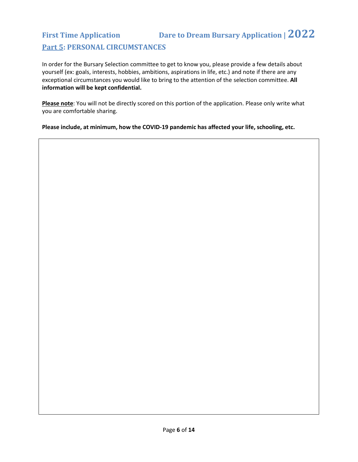### **First Time Application Dare to Dream Bursary Application | 2022 Part 5: PERSONAL CIRCUMSTANCES**

In order for the Bursary Selection committee to get to know you, please provide a few details about yourself (ex: goals, interests, hobbies, ambitions, aspirations in life, etc.) and note if there are any exceptional circumstances you would like to bring to the attention of the selection committee. **All information will be kept confidential.**

**Please note**: You will not be directly scored on this portion of the application. Please only write what you are comfortable sharing.

**Please include, at minimum, how the COVID-19 pandemic has affected your life, schooling, etc.**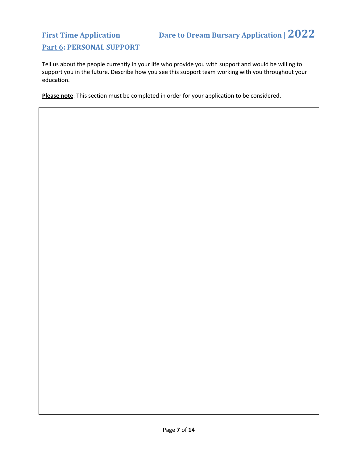### **First Time Application Dare to Dream Bursary Application | 2022 Part 6: PERSONAL SUPPORT**

Tell us about the people currently in your life who provide you with support and would be willing to support you in the future. Describe how you see this support team working with you throughout your education.

**Please note**: This section must be completed in order for your application to be considered.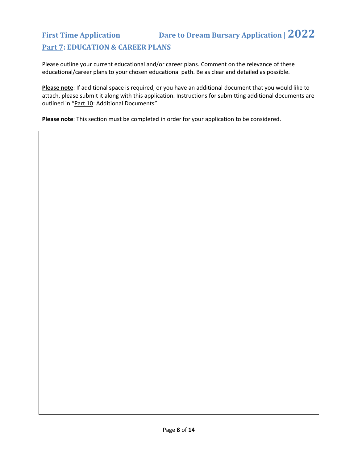### **First Time Application Dare to Dream Bursary Application | 2022 Part 7: EDUCATION & CAREER PLANS**

Please outline your current educational and/or career plans. Comment on the relevance of these educational/career plans to your chosen educational path. Be as clear and detailed as possible.

**Please note**: If additional space is required, or you have an additional document that you would like to attach, please submit it along with this application. Instructions for submitting additional documents are outlined in "Part 10: Additional Documents".

**Please note**: This section must be completed in order for your application to be considered.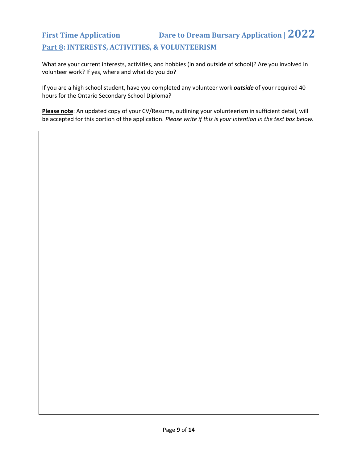### **First Time Application Dare to Dream Bursary Application | 2022 Part 8: INTERESTS, ACTIVITIES, & VOLUNTEERISM**

What are your current interests, activities, and hobbies (in and outside of school)? Are you involved in volunteer work? If yes, where and what do you do?

If you are a high school student, have you completed any volunteer work *outside* of your required 40 hours for the Ontario Secondary School Diploma?

**Please note**: An updated copy of your CV/Resume, outlining your volunteerism in sufficient detail, will be accepted for this portion of the application. *Please write if this is your intention in the text box below.*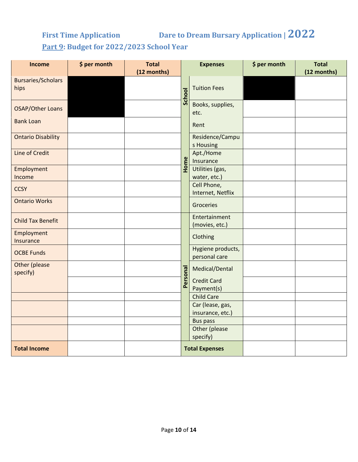## First Time Application Dare to Dream Bursary Application |  $2022$ **Part 9: Budget for 2022/2023 School Year**

| Income                            | \$ per month | <b>Total</b><br>(12 months) | <b>Expenses</b> |                                    | \$ per month | <b>Total</b><br>(12 months) |
|-----------------------------------|--------------|-----------------------------|-----------------|------------------------------------|--------------|-----------------------------|
| <b>Bursaries/Scholars</b><br>hips |              |                             | <b>School</b>   | <b>Tuition Fees</b>                |              |                             |
| <b>OSAP/Other Loans</b>           |              |                             |                 | Books, supplies,<br>etc.           |              |                             |
| <b>Bank Loan</b>                  |              |                             |                 | Rent                               |              |                             |
| <b>Ontario Disability</b>         |              |                             |                 | Residence/Campu<br>s Housing       |              |                             |
| Line of Credit                    |              |                             | Home            | Apt./Home<br>Insurance             |              |                             |
| Employment<br>Income              |              |                             |                 | Utilities (gas,<br>water, etc.)    |              |                             |
| <b>CCSY</b>                       |              |                             |                 | Cell Phone,<br>Internet, Netflix   |              |                             |
| <b>Ontario Works</b>              |              |                             |                 | Groceries                          |              |                             |
| <b>Child Tax Benefit</b>          |              |                             |                 | Entertainment<br>(movies, etc.)    |              |                             |
| Employment<br>Insurance           |              |                             |                 | Clothing                           |              |                             |
| <b>OCBE Funds</b>                 |              |                             |                 | Hygiene products,<br>personal care |              |                             |
| Other (please<br>specify)         |              |                             |                 | Medical/Dental                     |              |                             |
|                                   |              |                             | Personal        | <b>Credit Card</b><br>Payment(s)   |              |                             |
|                                   |              |                             |                 | <b>Child Care</b>                  |              |                             |
|                                   |              |                             |                 | Car (lease, gas,                   |              |                             |
|                                   |              |                             |                 | insurance, etc.)                   |              |                             |
|                                   |              |                             |                 | <b>Bus pass</b>                    |              |                             |
|                                   |              |                             |                 | Other (please<br>specify)          |              |                             |
| <b>Total Income</b>               |              |                             |                 | <b>Total Expenses</b>              |              |                             |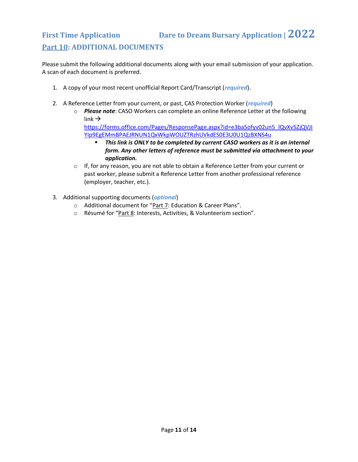### **First Time Application Dare to Dream Bursary Application | 2022 Part 10: ADDITIONAL DOCUMENTS**

Please submit the following additional documents along with your email submission of your application. A scan of each document is preferred.

- 1. A copy of your most recent unofficial Report Card/Transcript (*required*).
- 2. A Reference Letter from your current, or past, CAS Protection Worker (*required*)
	- o *Please note*: CASO Workers can complete an online Reference Letter at the following link  $\rightarrow$

[https://forms.office.com/Pages/ResponsePage.aspx?id=e3ba5ofyv02un5\\_lQvXv5ZjQVJI](https://forms.office.com/Pages/ResponsePage.aspx?id=e3ba5ofyv02un5_lQvXv5ZjQVJIYIp9EgEMmBPAEJRNUN1QxWkpWOUZTRzhUVkdES0E3U0U1QzBXNS4u) [YIp9EgEMmBPAEJRNUN1QxWkpWOUZTRzhUVkdES0E3U0U1QzBXNS4u](https://forms.office.com/Pages/ResponsePage.aspx?id=e3ba5ofyv02un5_lQvXv5ZjQVJIYIp9EgEMmBPAEJRNUN1QxWkpWOUZTRzhUVkdES0E3U0U1QzBXNS4u)

- *This link is ONLY to be completed by current CASO workers as it is an internal form. Any other letters of reference must be submitted via attachment to your application.*
- $\circ$  If, for any reason, you are not able to obtain a Reference Letter from your current or past worker, please submit a Reference Letter from another professional reference (employer, teacher, etc.).
- 3. Additional supporting documents (*optional*)
	- o Additional document for "Part 7: Education & Career Plans".
	- o Résumé for "Part 8: Interests, Activities, & Volunteerism section".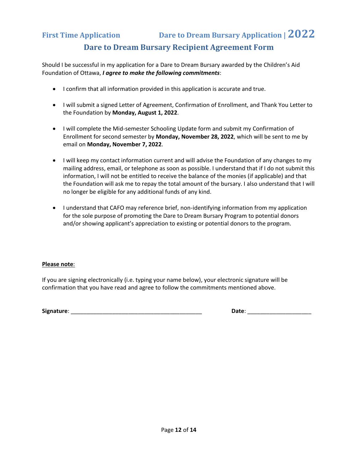### **First Time Application Dare to Dream Bursary Application | 2022 Dare to Dream Bursary Recipient Agreement Form**

Should I be successful in my application for a Dare to Dream Bursary awarded by the Children's Aid Foundation of Ottawa, *I agree to make the following commitments*:

- I confirm that all information provided in this application is accurate and true.
- I will submit a signed Letter of Agreement, Confirmation of Enrollment, and Thank You Letter to the Foundation by **Monday, August 1, 2022**.
- I will complete the Mid-semester Schooling Update form and submit my Confirmation of Enrollment for second semester by **Monday, November 28, 2022**, which will be sent to me by email on **Monday, November 7, 2022**.
- I will keep my contact information current and will advise the Foundation of any changes to my mailing address, email, or telephone as soon as possible. I understand that if I do not submit this information, I will not be entitled to receive the balance of the monies (if applicable) and that the Foundation will ask me to repay the total amount of the bursary. I also understand that I will no longer be eligible for any additional funds of any kind.
- I understand that CAFO may reference brief, non-identifying information from my application for the sole purpose of promoting the Dare to Dream Bursary Program to potential donors and/or showing applicant's appreciation to existing or potential donors to the program.

#### **Please note**:

If you are signing electronically (i.e. typing your name below), your electronic signature will be confirmation that you have read and agree to follow the commitments mentioned above.

**Signature**: \_\_\_\_\_\_\_\_\_\_\_\_\_\_\_\_\_\_\_\_\_\_\_\_\_\_\_\_\_\_\_\_\_\_\_\_\_\_\_\_\_ **Date**: \_\_\_\_\_\_\_\_\_\_\_\_\_\_\_\_\_\_\_\_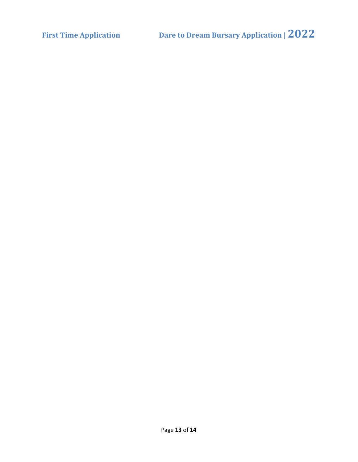First Time Application Dare to Dream Bursary Application |  $2022$